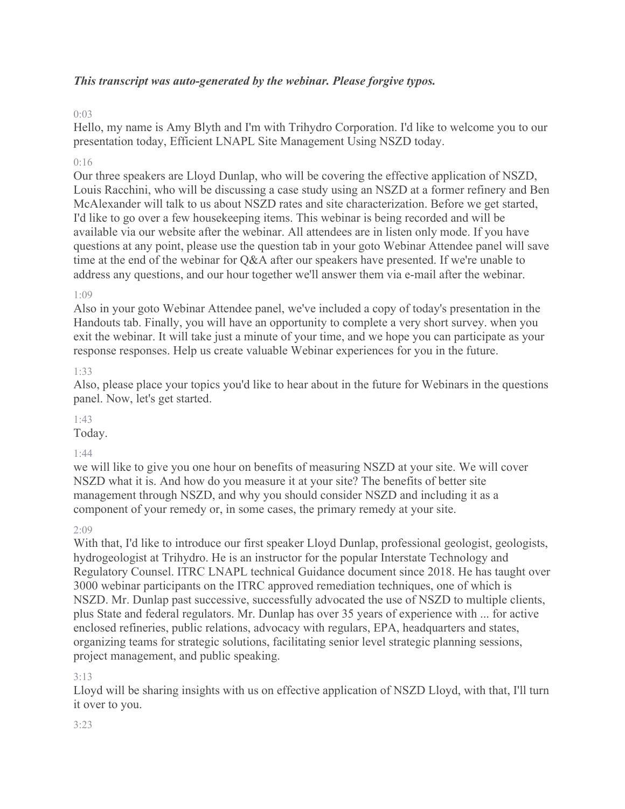### *This transcript was auto-generated by the webinar. Please forgive typos.*

### 0:03

Hello, my name is Amy Blyth and I'm with Trihydro Corporation. I'd like to welcome you to our presentation today, Efficient LNAPL Site Management Using NSZD today.

### $0.16$

Our three speakers are Lloyd Dunlap, who will be covering the effective application of NSZD, Louis Racchini, who will be discussing a case study using an NSZD at a former refinery and Ben McAlexander will talk to us about NSZD rates and site characterization. Before we get started, I'd like to go over a few housekeeping items. This webinar is being recorded and will be available via our website after the webinar. All attendees are in listen only mode. If you have questions at any point, please use the question tab in your goto Webinar Attendee panel will save time at the end of the webinar for Q&A after our speakers have presented. If we're unable to address any questions, and our hour together we'll answer them via e-mail after the webinar.

### 1:09

Also in your goto Webinar Attendee panel, we've included a copy of today's presentation in the Handouts tab. Finally, you will have an opportunity to complete a very short survey. when you exit the webinar. It will take just a minute of your time, and we hope you can participate as your response responses. Help us create valuable Webinar experiences for you in the future.

### 1:33

Also, please place your topics you'd like to hear about in the future for Webinars in the questions panel. Now, let's get started.

### 1:43

Today.

#### 1:44

we will like to give you one hour on benefits of measuring NSZD at your site. We will cover NSZD what it is. And how do you measure it at your site? The benefits of better site management through NSZD, and why you should consider NSZD and including it as a component of your remedy or, in some cases, the primary remedy at your site.

#### 2:09

With that, I'd like to introduce our first speaker Lloyd Dunlap, professional geologist, geologists, hydrogeologist at Trihydro. He is an instructor for the popular Interstate Technology and Regulatory Counsel. ITRC LNAPL technical Guidance document since 2018. He has taught over 3000 webinar participants on the ITRC approved remediation techniques, one of which is NSZD. Mr. Dunlap past successive, successfully advocated the use of NSZD to multiple clients, plus State and federal regulators. Mr. Dunlap has over 35 years of experience with ... for active enclosed refineries, public relations, advocacy with regulars, EPA, headquarters and states, organizing teams for strategic solutions, facilitating senior level strategic planning sessions, project management, and public speaking.

#### 3:13

Lloyd will be sharing insights with us on effective application of NSZD Lloyd, with that, I'll turn it over to you.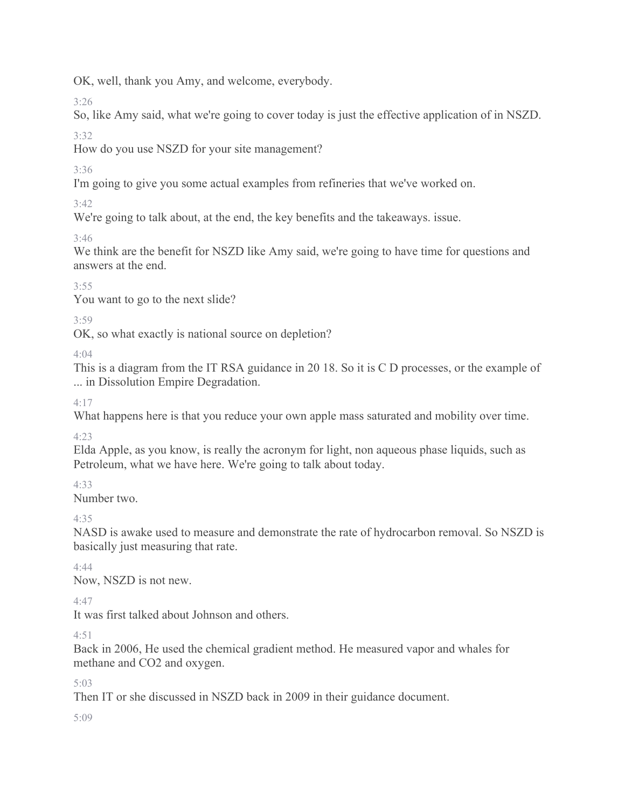OK, well, thank you Amy, and welcome, everybody.

3:26

So, like Amy said, what we're going to cover today is just the effective application of in NSZD.

3:32

How do you use NSZD for your site management?

3:36

I'm going to give you some actual examples from refineries that we've worked on.

3:42

We're going to talk about, at the end, the key benefits and the takeaways. issue.

3:46

We think are the benefit for NSZD like Amy said, we're going to have time for questions and answers at the end.

3:55

You want to go to the next slide?

3:59

OK, so what exactly is national source on depletion?

 $4.04$ 

This is a diagram from the IT RSA guidance in 20 18. So it is C D processes, or the example of ... in Dissolution Empire Degradation.

4:17

What happens here is that you reduce your own apple mass saturated and mobility over time.

4:23

Elda Apple, as you know, is really the acronym for light, non aqueous phase liquids, such as Petroleum, what we have here. We're going to talk about today.

4:33

Number two.

4:35

NASD is awake used to measure and demonstrate the rate of hydrocarbon removal. So NSZD is basically just measuring that rate.

4:44

Now, NSZD is not new.

4:47

It was first talked about Johnson and others.

 $4.51$ 

Back in 2006, He used the chemical gradient method. He measured vapor and whales for methane and CO2 and oxygen.

5:03

Then IT or she discussed in NSZD back in 2009 in their guidance document.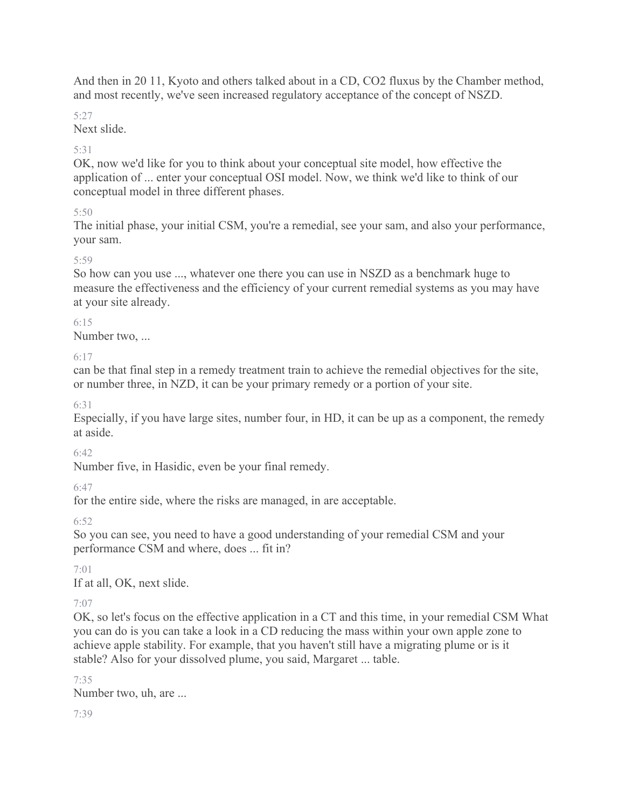And then in 20 11, Kyoto and others talked about in a CD, CO2 fluxus by the Chamber method, and most recently, we've seen increased regulatory acceptance of the concept of NSZD.

5:27

Next slide.

# 5:31

OK, now we'd like for you to think about your conceptual site model, how effective the application of ... enter your conceptual OSI model. Now, we think we'd like to think of our conceptual model in three different phases.

# 5:50

The initial phase, your initial CSM, you're a remedial, see your sam, and also your performance, your sam.

# 5:59

So how can you use ..., whatever one there you can use in NSZD as a benchmark huge to measure the effectiveness and the efficiency of your current remedial systems as you may have at your site already.

# 6:15

Number two, ...

6:17

can be that final step in a remedy treatment train to achieve the remedial objectives for the site, or number three, in NZD, it can be your primary remedy or a portion of your site.

6:31

Especially, if you have large sites, number four, in HD, it can be up as a component, the remedy at aside.

 $6.42$ 

Number five, in Hasidic, even be your final remedy.

6:47

for the entire side, where the risks are managed, in are acceptable.

6:52

So you can see, you need to have a good understanding of your remedial CSM and your performance CSM and where, does ... fit in?

7:01

If at all, OK, next slide.

7:07

OK, so let's focus on the effective application in a CT and this time, in your remedial CSM What you can do is you can take a look in a CD reducing the mass within your own apple zone to achieve apple stability. For example, that you haven't still have a migrating plume or is it stable? Also for your dissolved plume, you said, Margaret ... table.

7:35 Number two, uh, are ...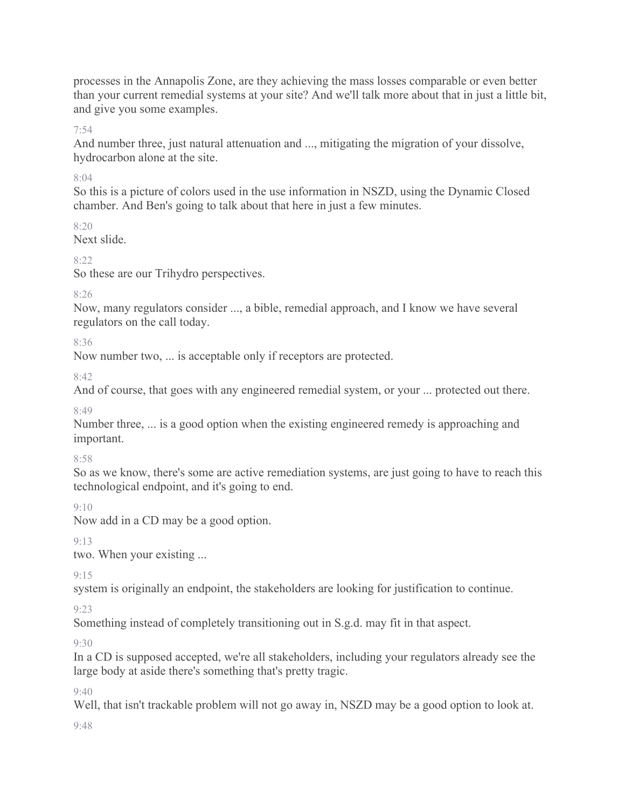processes in the Annapolis Zone, are they achieving the mass losses comparable or even better than your current remedial systems at your site? And we'll talk more about that in just a little bit, and give you some examples.

7:54

And number three, just natural attenuation and ..., mitigating the migration of your dissolve, hydrocarbon alone at the site.

### 8:04

So this is a picture of colors used in the use information in NSZD, using the Dynamic Closed chamber. And Ben's going to talk about that here in just a few minutes.

8:20

Next slide.

8:22

So these are our Trihydro perspectives.

8:26

Now, many regulators consider ..., a bible, remedial approach, and I know we have several regulators on the call today.

8:36

Now number two, ... is acceptable only if receptors are protected.

 $8.42$ 

And of course, that goes with any engineered remedial system, or your ... protected out there.

8:49

Number three, ... is a good option when the existing engineered remedy is approaching and important.

8:58

So as we know, there's some are active remediation systems, are just going to have to reach this technological endpoint, and it's going to end.

9:10

Now add in a CD may be a good option.

9:13

two. When your existing ...

9:15

system is originally an endpoint, the stakeholders are looking for justification to continue.

9:23

Something instead of completely transitioning out in S.g.d. may fit in that aspect.

9:30

In a CD is supposed accepted, we're all stakeholders, including your regulators already see the large body at aside there's something that's pretty tragic.

9:40

Well, that isn't trackable problem will not go away in, NSZD may be a good option to look at.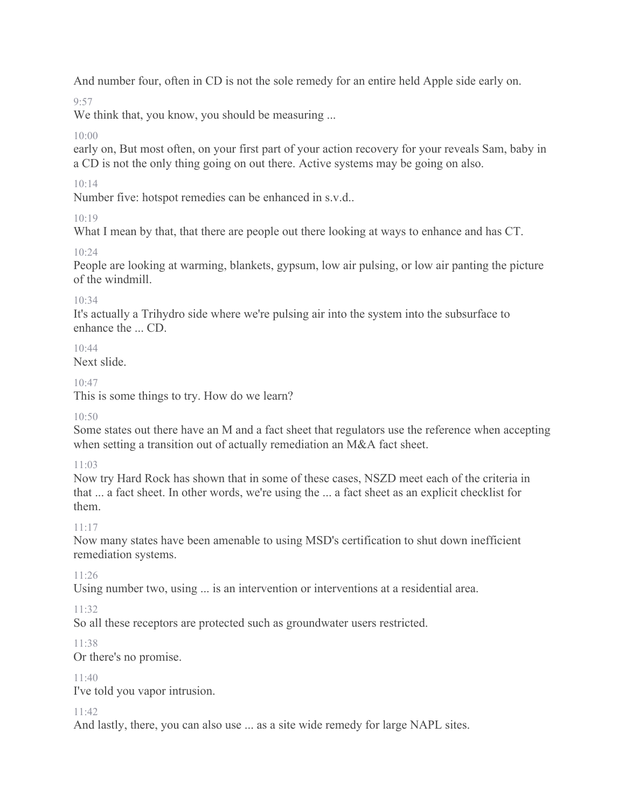And number four, often in CD is not the sole remedy for an entire held Apple side early on.

 $Q.57$ 

We think that, you know, you should be measuring ...

# 10:00

early on, But most often, on your first part of your action recovery for your reveals Sam, baby in a CD is not the only thing going on out there. Active systems may be going on also.

# 10:14

Number five: hotspot remedies can be enhanced in s.v.d..

# $10.19$

What I mean by that, that there are people out there looking at ways to enhance and has CT.

# 10:24

People are looking at warming, blankets, gypsum, low air pulsing, or low air panting the picture of the windmill.

### 10:34

It's actually a Trihydro side where we're pulsing air into the system into the subsurface to enhance the ... CD.

# $10.44$

Next slide.

### 10:47

This is some things to try. How do we learn?

### 10:50

Some states out there have an M and a fact sheet that regulators use the reference when accepting when setting a transition out of actually remediation an M&A fact sheet.

# 11:03

Now try Hard Rock has shown that in some of these cases, NSZD meet each of the criteria in that ... a fact sheet. In other words, we're using the ... a fact sheet as an explicit checklist for them.

# $11 \cdot 17$

Now many states have been amenable to using MSD's certification to shut down inefficient remediation systems.

# 11:26

Using number two, using ... is an intervention or interventions at a residential area.

# 11:32

So all these receptors are protected such as groundwater users restricted.

# 11:38

Or there's no promise.

### 11:40

I've told you vapor intrusion.

### 11:42

And lastly, there, you can also use ... as a site wide remedy for large NAPL sites.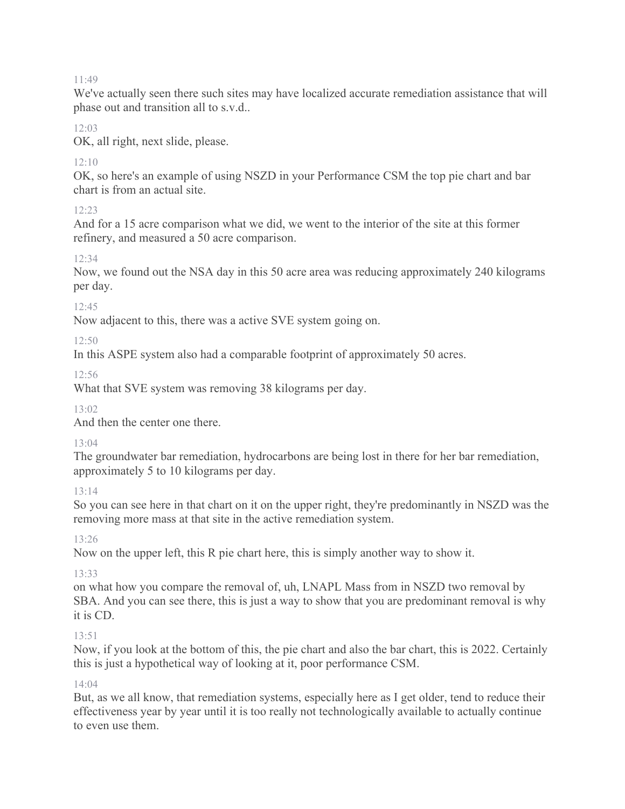We've actually seen there such sites may have localized accurate remediation assistance that will phase out and transition all to s.v.d..

### $12.03$

OK, all right, next slide, please.

# $12:10$

OK, so here's an example of using NSZD in your Performance CSM the top pie chart and bar chart is from an actual site.

# $12:23$

And for a 15 acre comparison what we did, we went to the interior of the site at this former refinery, and measured a 50 acre comparison.

### 12:34

Now, we found out the NSA day in this 50 acre area was reducing approximately 240 kilograms per day.

### $12.45$

Now adjacent to this, there was a active SVE system going on.

### 12:50

In this ASPE system also had a comparable footprint of approximately 50 acres.

12:56

What that SVE system was removing 38 kilograms per day.

 $13.02$ 

And then the center one there.

### 13:04

The groundwater bar remediation, hydrocarbons are being lost in there for her bar remediation, approximately 5 to 10 kilograms per day.

# 13:14

So you can see here in that chart on it on the upper right, they're predominantly in NSZD was the removing more mass at that site in the active remediation system.

13:26

Now on the upper left, this R pie chart here, this is simply another way to show it.

# 13:33

on what how you compare the removal of, uh, LNAPL Mass from in NSZD two removal by SBA. And you can see there, this is just a way to show that you are predominant removal is why it is CD.

# 13:51

Now, if you look at the bottom of this, the pie chart and also the bar chart, this is 2022. Certainly this is just a hypothetical way of looking at it, poor performance CSM.

### 14:04

But, as we all know, that remediation systems, especially here as I get older, tend to reduce their effectiveness year by year until it is too really not technologically available to actually continue to even use them.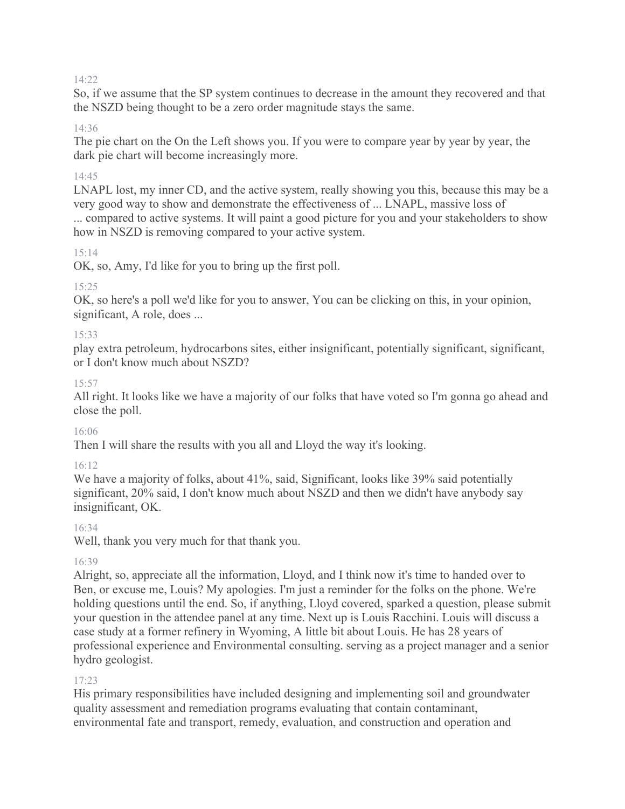So, if we assume that the SP system continues to decrease in the amount they recovered and that the NSZD being thought to be a zero order magnitude stays the same.

### 14:36

The pie chart on the On the Left shows you. If you were to compare year by year by year, the dark pie chart will become increasingly more.

### 14:45

LNAPL lost, my inner CD, and the active system, really showing you this, because this may be a very good way to show and demonstrate the effectiveness of ... LNAPL, massive loss of ... compared to active systems. It will paint a good picture for you and your stakeholders to show how in NSZD is removing compared to your active system.

### 15:14

OK, so, Amy, I'd like for you to bring up the first poll.

### 15:25

OK, so here's a poll we'd like for you to answer, You can be clicking on this, in your opinion, significant, A role, does ...

### 15:33

play extra petroleum, hydrocarbons sites, either insignificant, potentially significant, significant, or I don't know much about NSZD?

### 15:57

All right. It looks like we have a majority of our folks that have voted so I'm gonna go ahead and close the poll.

#### 16:06

Then I will share the results with you all and Lloyd the way it's looking.

#### 16:12

We have a majority of folks, about 41%, said, Significant, looks like 39% said potentially significant, 20% said, I don't know much about NSZD and then we didn't have anybody say insignificant, OK.

#### 16:34

Well, thank you very much for that thank you.

#### 16:39

Alright, so, appreciate all the information, Lloyd, and I think now it's time to handed over to Ben, or excuse me, Louis? My apologies. I'm just a reminder for the folks on the phone. We're holding questions until the end. So, if anything, Lloyd covered, sparked a question, please submit your question in the attendee panel at any time. Next up is Louis Racchini. Louis will discuss a case study at a former refinery in Wyoming, A little bit about Louis. He has 28 years of professional experience and Environmental consulting. serving as a project manager and a senior hydro geologist.

#### 17:23

His primary responsibilities have included designing and implementing soil and groundwater quality assessment and remediation programs evaluating that contain contaminant, environmental fate and transport, remedy, evaluation, and construction and operation and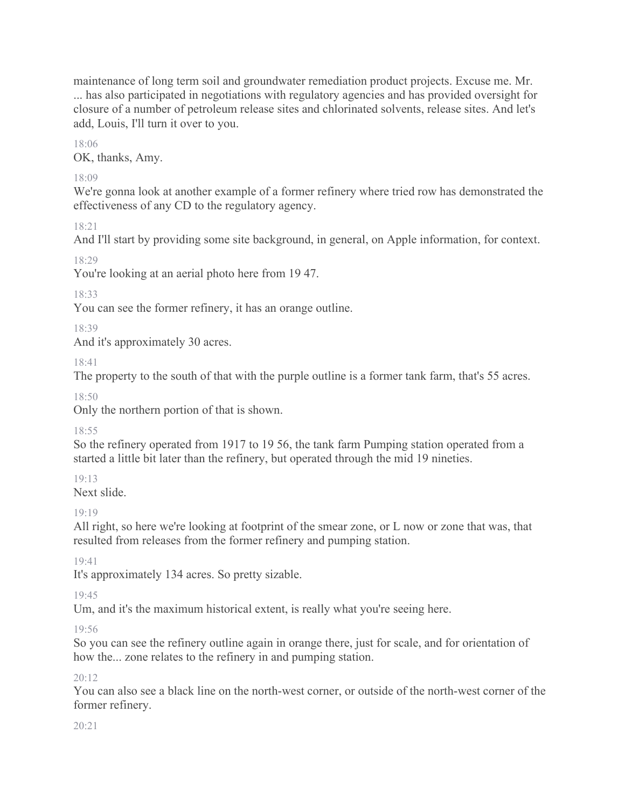maintenance of long term soil and groundwater remediation product projects. Excuse me. Mr. ... has also participated in negotiations with regulatory agencies and has provided oversight for closure of a number of petroleum release sites and chlorinated solvents, release sites. And let's add, Louis, I'll turn it over to you.

18:06

OK, thanks, Amy.

# 18:09

We're gonna look at another example of a former refinery where tried row has demonstrated the effectiveness of any CD to the regulatory agency.

18:21

And I'll start by providing some site background, in general, on Apple information, for context.

18:29

You're looking at an aerial photo here from 19 47.

18:33

You can see the former refinery, it has an orange outline.

18:39

And it's approximately 30 acres.

18:41

The property to the south of that with the purple outline is a former tank farm, that's 55 acres.

 $18:50$ 

Only the northern portion of that is shown.

18:55

So the refinery operated from 1917 to 19 56, the tank farm Pumping station operated from a started a little bit later than the refinery, but operated through the mid 19 nineties.

19:13

Next slide.

19:19

All right, so here we're looking at footprint of the smear zone, or L now or zone that was, that resulted from releases from the former refinery and pumping station.

19:41

It's approximately 134 acres. So pretty sizable.

19:45

Um, and it's the maximum historical extent, is really what you're seeing here.

19:56

So you can see the refinery outline again in orange there, just for scale, and for orientation of how the... zone relates to the refinery in and pumping station.

 $20 \cdot 12$ 

You can also see a black line on the north-west corner, or outside of the north-west corner of the former refinery.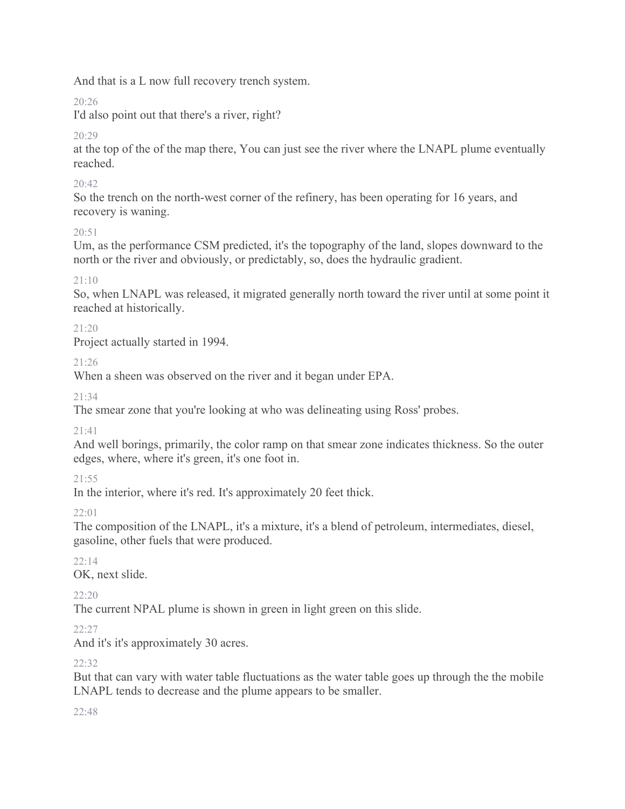And that is a L now full recovery trench system.

 $20.26$ 

I'd also point out that there's a river, right?

20:29

at the top of the of the map there, You can just see the river where the LNAPL plume eventually reached.

# 20:42

So the trench on the north-west corner of the refinery, has been operating for 16 years, and recovery is waning.

# 20:51

Um, as the performance CSM predicted, it's the topography of the land, slopes downward to the north or the river and obviously, or predictably, so, does the hydraulic gradient.

# 21:10

So, when LNAPL was released, it migrated generally north toward the river until at some point it reached at historically.

# 21:20

Project actually started in 1994.

# 21:26

When a sheen was observed on the river and it began under EPA.

 $21.34$ 

The smear zone that you're looking at who was delineating using Ross' probes.

# 21:41

And well borings, primarily, the color ramp on that smear zone indicates thickness. So the outer edges, where, where it's green, it's one foot in.

# 21:55

In the interior, where it's red. It's approximately 20 feet thick.

22:01

The composition of the LNAPL, it's a mixture, it's a blend of petroleum, intermediates, diesel, gasoline, other fuels that were produced.

# $22 \cdot 14$

OK, next slide.

22:20

The current NPAL plume is shown in green in light green on this slide.

# $22:27$

And it's it's approximately 30 acres.

# 22:32

But that can vary with water table fluctuations as the water table goes up through the the mobile LNAPL tends to decrease and the plume appears to be smaller.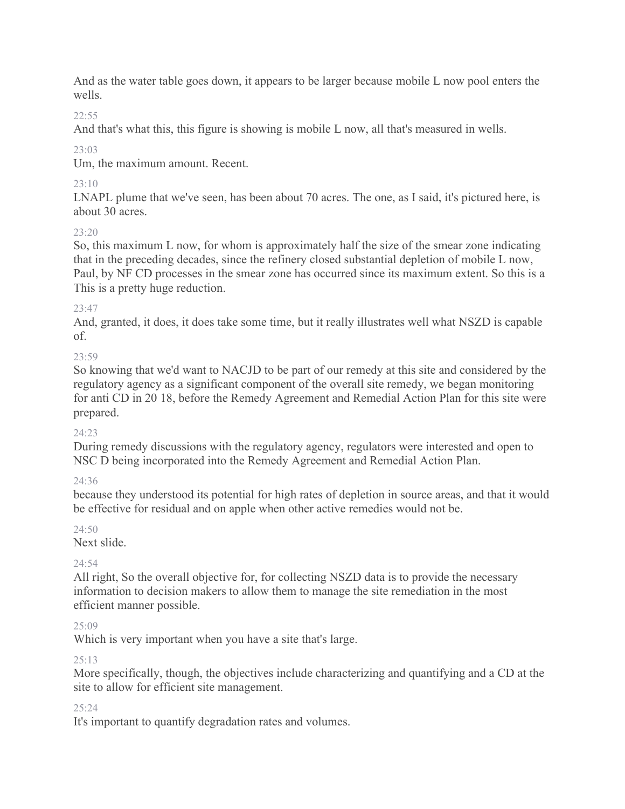And as the water table goes down, it appears to be larger because mobile L now pool enters the wells.

# $22.55$

And that's what this, this figure is showing is mobile L now, all that's measured in wells.

 $23.03$ 

Um, the maximum amount. Recent.

# $23 \cdot 10$

LNAPL plume that we've seen, has been about 70 acres. The one, as I said, it's pictured here, is about 30 acres.

# 23:20

So, this maximum L now, for whom is approximately half the size of the smear zone indicating that in the preceding decades, since the refinery closed substantial depletion of mobile L now, Paul, by NF CD processes in the smear zone has occurred since its maximum extent. So this is a This is a pretty huge reduction.

# $23.47$

And, granted, it does, it does take some time, but it really illustrates well what NSZD is capable of.

# $23.59$

So knowing that we'd want to NACJD to be part of our remedy at this site and considered by the regulatory agency as a significant component of the overall site remedy, we began monitoring for anti CD in 20 18, before the Remedy Agreement and Remedial Action Plan for this site were prepared.

# 24:23

During remedy discussions with the regulatory agency, regulators were interested and open to NSC D being incorporated into the Remedy Agreement and Remedial Action Plan.

# 24:36

because they understood its potential for high rates of depletion in source areas, and that it would be effective for residual and on apple when other active remedies would not be.

# 24:50

Next slide.

# 24:54

All right, So the overall objective for, for collecting NSZD data is to provide the necessary information to decision makers to allow them to manage the site remediation in the most efficient manner possible.

# 25:09

Which is very important when you have a site that's large.

# 25:13

More specifically, though, the objectives include characterizing and quantifying and a CD at the site to allow for efficient site management.

# 25:24

It's important to quantify degradation rates and volumes.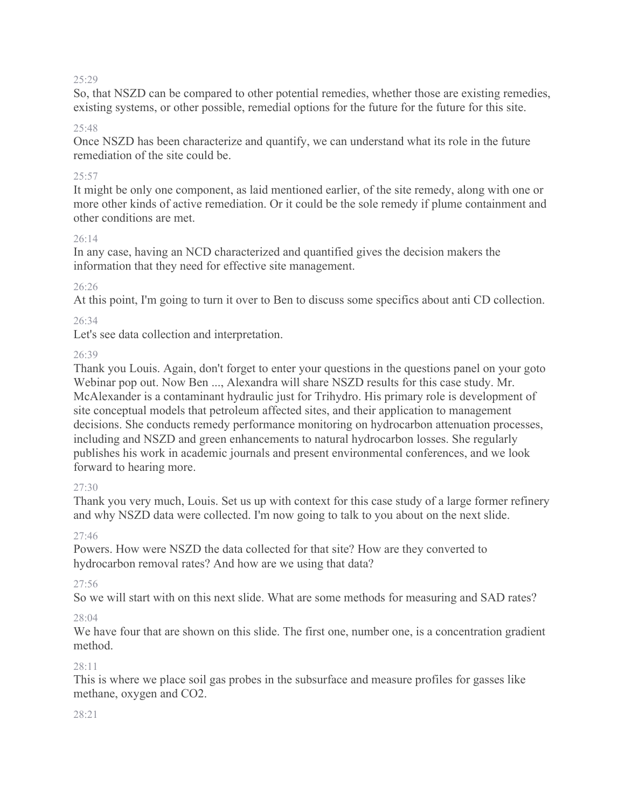So, that NSZD can be compared to other potential remedies, whether those are existing remedies, existing systems, or other possible, remedial options for the future for the future for this site.

#### 25:48

Once NSZD has been characterize and quantify, we can understand what its role in the future remediation of the site could be.

#### 25:57

It might be only one component, as laid mentioned earlier, of the site remedy, along with one or more other kinds of active remediation. Or it could be the sole remedy if plume containment and other conditions are met.

#### 26:14

In any case, having an NCD characterized and quantified gives the decision makers the information that they need for effective site management.

### 26:26

At this point, I'm going to turn it over to Ben to discuss some specifics about anti CD collection.

### 26:34

Let's see data collection and interpretation.

### 26:39

Thank you Louis. Again, don't forget to enter your questions in the questions panel on your goto Webinar pop out. Now Ben ..., Alexandra will share NSZD results for this case study. Mr. McAlexander is a contaminant hydraulic just for Trihydro. His primary role is development of site conceptual models that petroleum affected sites, and their application to management decisions. She conducts remedy performance monitoring on hydrocarbon attenuation processes, including and NSZD and green enhancements to natural hydrocarbon losses. She regularly publishes his work in academic journals and present environmental conferences, and we look forward to hearing more.

#### $27.30$

Thank you very much, Louis. Set us up with context for this case study of a large former refinery and why NSZD data were collected. I'm now going to talk to you about on the next slide.

#### 27:46

Powers. How were NSZD the data collected for that site? How are they converted to hydrocarbon removal rates? And how are we using that data?

#### 27:56

So we will start with on this next slide. What are some methods for measuring and SAD rates?

#### 28:04

We have four that are shown on this slide. The first one, number one, is a concentration gradient method.

#### $28.11$

This is where we place soil gas probes in the subsurface and measure profiles for gasses like methane, oxygen and CO2.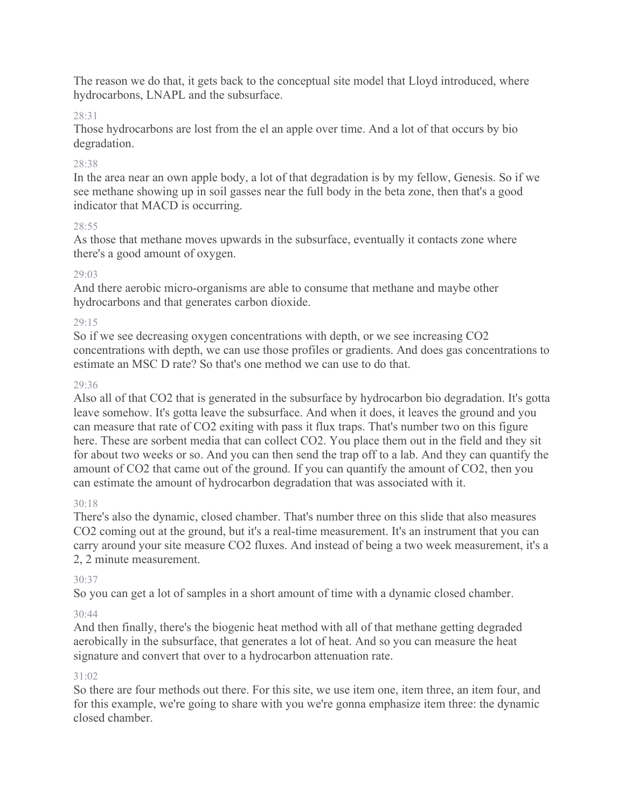The reason we do that, it gets back to the conceptual site model that Lloyd introduced, where hydrocarbons, LNAPL and the subsurface.

### 28:31

Those hydrocarbons are lost from the el an apple over time. And a lot of that occurs by bio degradation.

### 28:38

In the area near an own apple body, a lot of that degradation is by my fellow, Genesis. So if we see methane showing up in soil gasses near the full body in the beta zone, then that's a good indicator that MACD is occurring.

#### 28:55

As those that methane moves upwards in the subsurface, eventually it contacts zone where there's a good amount of oxygen.

### 29:03

And there aerobic micro-organisms are able to consume that methane and maybe other hydrocarbons and that generates carbon dioxide.

### 29:15

So if we see decreasing oxygen concentrations with depth, or we see increasing CO2 concentrations with depth, we can use those profiles or gradients. And does gas concentrations to estimate an MSC D rate? So that's one method we can use to do that.

### 29:36

Also all of that CO2 that is generated in the subsurface by hydrocarbon bio degradation. It's gotta leave somehow. It's gotta leave the subsurface. And when it does, it leaves the ground and you can measure that rate of CO2 exiting with pass it flux traps. That's number two on this figure here. These are sorbent media that can collect CO2. You place them out in the field and they sit for about two weeks or so. And you can then send the trap off to a lab. And they can quantify the amount of CO2 that came out of the ground. If you can quantify the amount of CO2, then you can estimate the amount of hydrocarbon degradation that was associated with it.

#### 30:18

There's also the dynamic, closed chamber. That's number three on this slide that also measures CO2 coming out at the ground, but it's a real-time measurement. It's an instrument that you can carry around your site measure CO2 fluxes. And instead of being a two week measurement, it's a 2, 2 minute measurement.

### 30:37

So you can get a lot of samples in a short amount of time with a dynamic closed chamber.

### 30:44

And then finally, there's the biogenic heat method with all of that methane getting degraded aerobically in the subsurface, that generates a lot of heat. And so you can measure the heat signature and convert that over to a hydrocarbon attenuation rate.

### 31:02

So there are four methods out there. For this site, we use item one, item three, an item four, and for this example, we're going to share with you we're gonna emphasize item three: the dynamic closed chamber.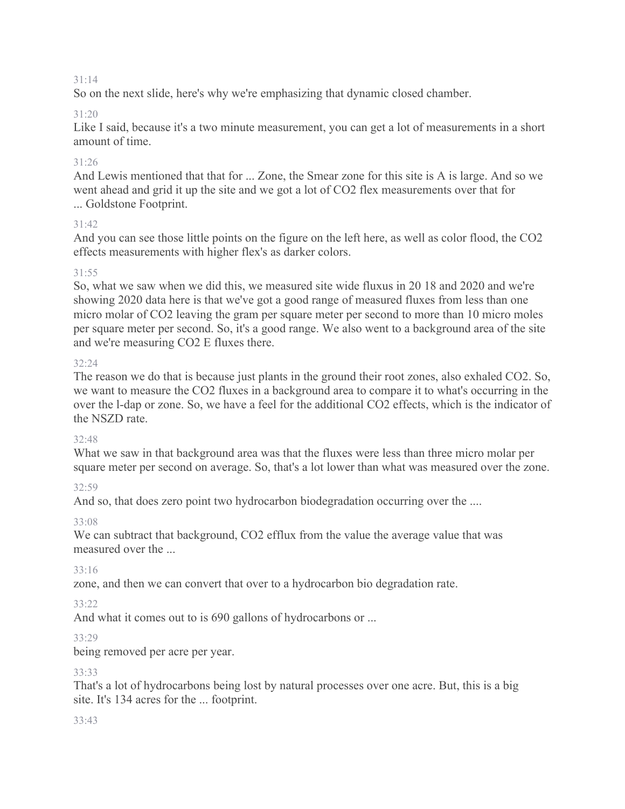So on the next slide, here's why we're emphasizing that dynamic closed chamber.

### 31:20

Like I said, because it's a two minute measurement, you can get a lot of measurements in a short amount of time.

### 31:26

And Lewis mentioned that that for ... Zone, the Smear zone for this site is A is large. And so we went ahead and grid it up the site and we got a lot of CO2 flex measurements over that for ... Goldstone Footprint.

### 31:42

And you can see those little points on the figure on the left here, as well as color flood, the CO2 effects measurements with higher flex's as darker colors.

### 31:55

So, what we saw when we did this, we measured site wide fluxus in 20 18 and 2020 and we're showing 2020 data here is that we've got a good range of measured fluxes from less than one micro molar of CO2 leaving the gram per square meter per second to more than 10 micro moles per square meter per second. So, it's a good range. We also went to a background area of the site and we're measuring CO2 E fluxes there.

#### 32:24

The reason we do that is because just plants in the ground their root zones, also exhaled CO2. So, we want to measure the CO2 fluxes in a background area to compare it to what's occurring in the over the l-dap or zone. So, we have a feel for the additional CO2 effects, which is the indicator of the NSZD rate.

### 32:48

What we saw in that background area was that the fluxes were less than three micro molar per square meter per second on average. So, that's a lot lower than what was measured over the zone.

### 32:59

And so, that does zero point two hydrocarbon biodegradation occurring over the ....

### 33:08

We can subtract that background, CO2 efflux from the value the average value that was measured over the ...

### 33:16

zone, and then we can convert that over to a hydrocarbon bio degradation rate.

### 33:22

And what it comes out to is 690 gallons of hydrocarbons or ...

### 33:29

being removed per acre per year.

### 33:33

That's a lot of hydrocarbons being lost by natural processes over one acre. But, this is a big site. It's 134 acres for the ... footprint.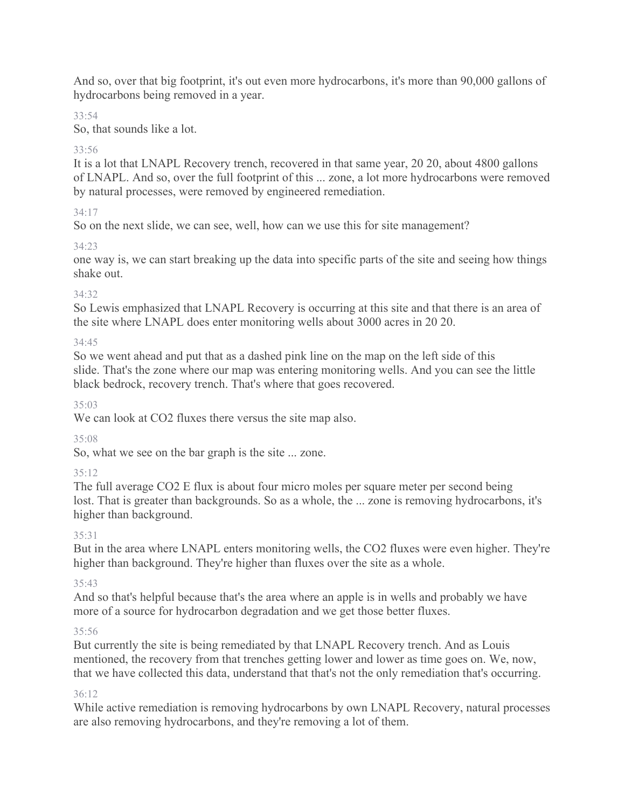And so, over that big footprint, it's out even more hydrocarbons, it's more than 90,000 gallons of hydrocarbons being removed in a year.

# 33:54

So, that sounds like a lot.

# 33:56

It is a lot that LNAPL Recovery trench, recovered in that same year, 20 20, about 4800 gallons of LNAPL. And so, over the full footprint of this ... zone, a lot more hydrocarbons were removed by natural processes, were removed by engineered remediation.

# 34:17

So on the next slide, we can see, well, how can we use this for site management?

### 34:23

one way is, we can start breaking up the data into specific parts of the site and seeing how things shake out.

### 34:32

So Lewis emphasized that LNAPL Recovery is occurring at this site and that there is an area of the site where LNAPL does enter monitoring wells about 3000 acres in 20 20.

### 34:45

So we went ahead and put that as a dashed pink line on the map on the left side of this slide. That's the zone where our map was entering monitoring wells. And you can see the little black bedrock, recovery trench. That's where that goes recovered.

# 35:03

We can look at CO2 fluxes there versus the site map also.

### 35:08

So, what we see on the bar graph is the site ... zone.

# 35:12

The full average CO2 E flux is about four micro moles per square meter per second being lost. That is greater than backgrounds. So as a whole, the ... zone is removing hydrocarbons, it's higher than background.

### 35:31

But in the area where LNAPL enters monitoring wells, the CO2 fluxes were even higher. They're higher than background. They're higher than fluxes over the site as a whole.

### 35:43

And so that's helpful because that's the area where an apple is in wells and probably we have more of a source for hydrocarbon degradation and we get those better fluxes.

### 35:56

But currently the site is being remediated by that LNAPL Recovery trench. And as Louis mentioned, the recovery from that trenches getting lower and lower as time goes on. We, now, that we have collected this data, understand that that's not the only remediation that's occurring.

### 36:12

While active remediation is removing hydrocarbons by own LNAPL Recovery, natural processes are also removing hydrocarbons, and they're removing a lot of them.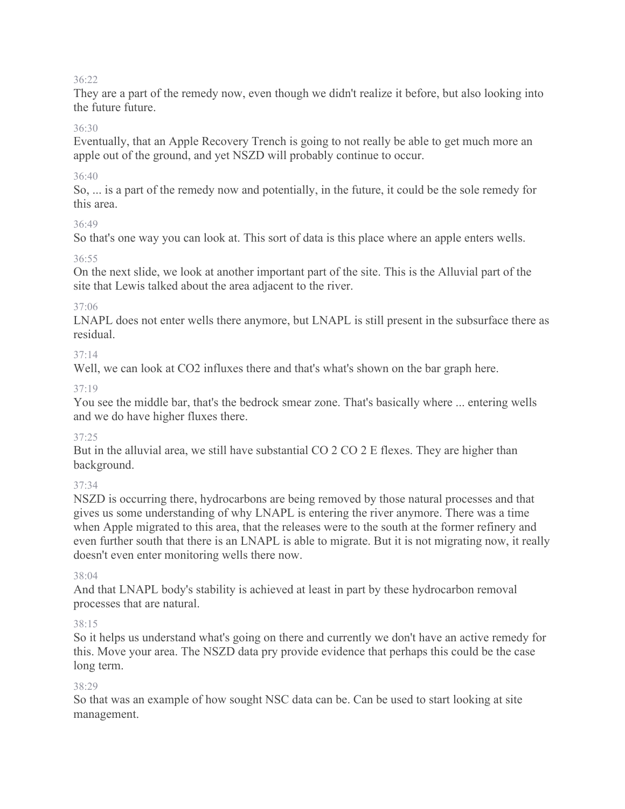They are a part of the remedy now, even though we didn't realize it before, but also looking into the future future.

### 36:30

Eventually, that an Apple Recovery Trench is going to not really be able to get much more an apple out of the ground, and yet NSZD will probably continue to occur.

### 36:40

So, ... is a part of the remedy now and potentially, in the future, it could be the sole remedy for this area.

### 36:49

So that's one way you can look at. This sort of data is this place where an apple enters wells.

### 36:55

On the next slide, we look at another important part of the site. This is the Alluvial part of the site that Lewis talked about the area adjacent to the river.

### 37:06

LNAPL does not enter wells there anymore, but LNAPL is still present in the subsurface there as residual.

### $37 \cdot 14$

Well, we can look at CO2 influxes there and that's what's shown on the bar graph here.

### 37:19

You see the middle bar, that's the bedrock smear zone. That's basically where ... entering wells and we do have higher fluxes there.

### 37:25

But in the alluvial area, we still have substantial CO 2 CO 2 E flexes. They are higher than background.

### 37:34

NSZD is occurring there, hydrocarbons are being removed by those natural processes and that gives us some understanding of why LNAPL is entering the river anymore. There was a time when Apple migrated to this area, that the releases were to the south at the former refinery and even further south that there is an LNAPL is able to migrate. But it is not migrating now, it really doesn't even enter monitoring wells there now.

#### 38:04

And that LNAPL body's stability is achieved at least in part by these hydrocarbon removal processes that are natural.

### 38:15

So it helps us understand what's going on there and currently we don't have an active remedy for this. Move your area. The NSZD data pry provide evidence that perhaps this could be the case long term.

#### 38:29

So that was an example of how sought NSC data can be. Can be used to start looking at site management.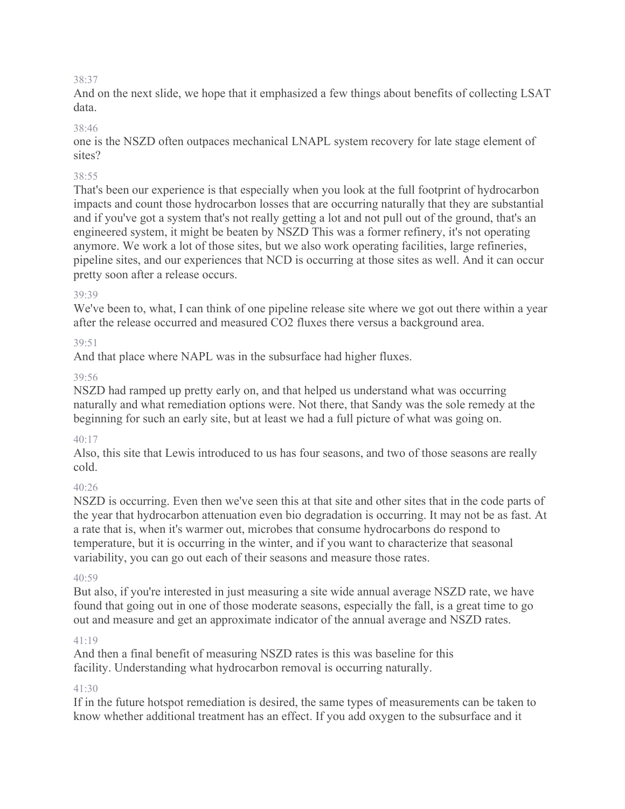And on the next slide, we hope that it emphasized a few things about benefits of collecting LSAT data.

### 38:46

one is the NSZD often outpaces mechanical LNAPL system recovery for late stage element of sites?

### 38:55

That's been our experience is that especially when you look at the full footprint of hydrocarbon impacts and count those hydrocarbon losses that are occurring naturally that they are substantial and if you've got a system that's not really getting a lot and not pull out of the ground, that's an engineered system, it might be beaten by NSZD This was a former refinery, it's not operating anymore. We work a lot of those sites, but we also work operating facilities, large refineries, pipeline sites, and our experiences that NCD is occurring at those sites as well. And it can occur pretty soon after a release occurs.

### 39:39

We've been to, what, I can think of one pipeline release site where we got out there within a year after the release occurred and measured CO2 fluxes there versus a background area.

### 39:51

And that place where NAPL was in the subsurface had higher fluxes.

### 39:56

NSZD had ramped up pretty early on, and that helped us understand what was occurring naturally and what remediation options were. Not there, that Sandy was the sole remedy at the beginning for such an early site, but at least we had a full picture of what was going on.

### 40:17

Also, this site that Lewis introduced to us has four seasons, and two of those seasons are really cold.

### $40.26$

NSZD is occurring. Even then we've seen this at that site and other sites that in the code parts of the year that hydrocarbon attenuation even bio degradation is occurring. It may not be as fast. At a rate that is, when it's warmer out, microbes that consume hydrocarbons do respond to temperature, but it is occurring in the winter, and if you want to characterize that seasonal variability, you can go out each of their seasons and measure those rates.

#### $40.59$

But also, if you're interested in just measuring a site wide annual average NSZD rate, we have found that going out in one of those moderate seasons, especially the fall, is a great time to go out and measure and get an approximate indicator of the annual average and NSZD rates.

### 41:19

And then a final benefit of measuring NSZD rates is this was baseline for this facility. Understanding what hydrocarbon removal is occurring naturally.

#### $41.30$

If in the future hotspot remediation is desired, the same types of measurements can be taken to know whether additional treatment has an effect. If you add oxygen to the subsurface and it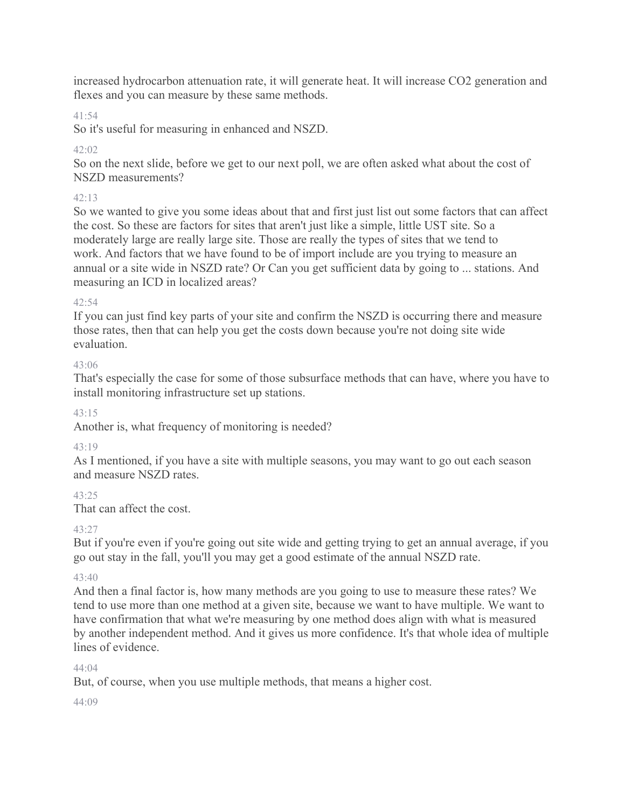increased hydrocarbon attenuation rate, it will generate heat. It will increase CO2 generation and flexes and you can measure by these same methods.

### 41:54

So it's useful for measuring in enhanced and NSZD.

### $42.02$

So on the next slide, before we get to our next poll, we are often asked what about the cost of NSZD measurements?

### 42:13

So we wanted to give you some ideas about that and first just list out some factors that can affect the cost. So these are factors for sites that aren't just like a simple, little UST site. So a moderately large are really large site. Those are really the types of sites that we tend to work. And factors that we have found to be of import include are you trying to measure an annual or a site wide in NSZD rate? Or Can you get sufficient data by going to ... stations. And measuring an ICD in localized areas?

### 42:54

If you can just find key parts of your site and confirm the NSZD is occurring there and measure those rates, then that can help you get the costs down because you're not doing site wide evaluation.

### 43:06

That's especially the case for some of those subsurface methods that can have, where you have to install monitoring infrastructure set up stations.

#### 43:15

Another is, what frequency of monitoring is needed?

### $43.19$

As I mentioned, if you have a site with multiple seasons, you may want to go out each season and measure NSZD rates.

### $43.25$

That can affect the cost.

### 43:27

But if you're even if you're going out site wide and getting trying to get an annual average, if you go out stay in the fall, you'll you may get a good estimate of the annual NSZD rate.

### 43:40

And then a final factor is, how many methods are you going to use to measure these rates? We tend to use more than one method at a given site, because we want to have multiple. We want to have confirmation that what we're measuring by one method does align with what is measured by another independent method. And it gives us more confidence. It's that whole idea of multiple lines of evidence.

#### 44:04

But, of course, when you use multiple methods, that means a higher cost.

#### $44.09$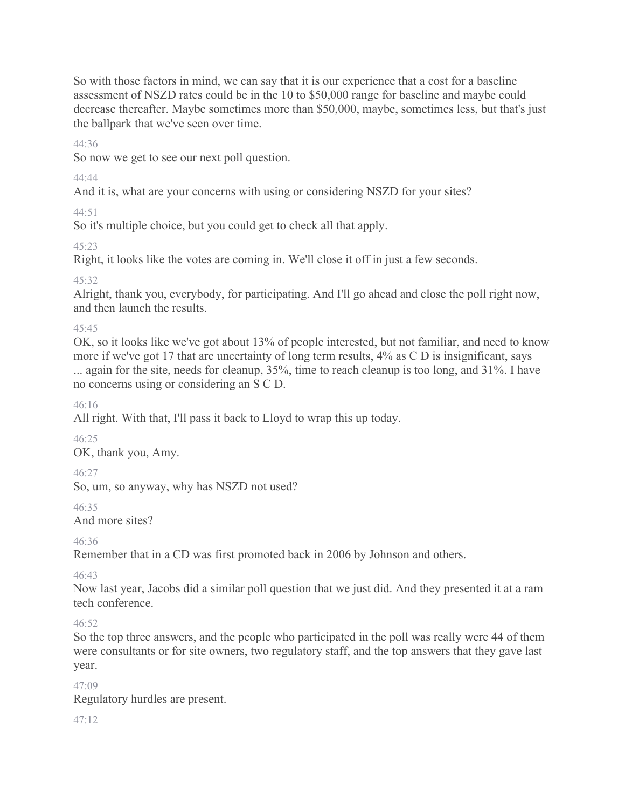So with those factors in mind, we can say that it is our experience that a cost for a baseline assessment of NSZD rates could be in the 10 to \$50,000 range for baseline and maybe could decrease thereafter. Maybe sometimes more than \$50,000, maybe, sometimes less, but that's just the ballpark that we've seen over time.

44:36

So now we get to see our next poll question.

44:44

And it is, what are your concerns with using or considering NSZD for your sites?

44:51

So it's multiple choice, but you could get to check all that apply.

45:23

Right, it looks like the votes are coming in. We'll close it off in just a few seconds.

45:32

Alright, thank you, everybody, for participating. And I'll go ahead and close the poll right now, and then launch the results.

 $45.45$ 

OK, so it looks like we've got about 13% of people interested, but not familiar, and need to know more if we've got 17 that are uncertainty of long term results, 4% as C D is insignificant, says ... again for the site, needs for cleanup, 35%, time to reach cleanup is too long, and 31%. I have no concerns using or considering an S C D.

46:16

All right. With that, I'll pass it back to Lloyd to wrap this up today.

46:25

OK, thank you, Amy.

46:27

So, um, so anyway, why has NSZD not used?

46:35

And more sites?

46:36

Remember that in a CD was first promoted back in 2006 by Johnson and others.

46:43

Now last year, Jacobs did a similar poll question that we just did. And they presented it at a ram tech conference.

### $46.52$

So the top three answers, and the people who participated in the poll was really were 44 of them were consultants or for site owners, two regulatory staff, and the top answers that they gave last year.

47:09

Regulatory hurdles are present.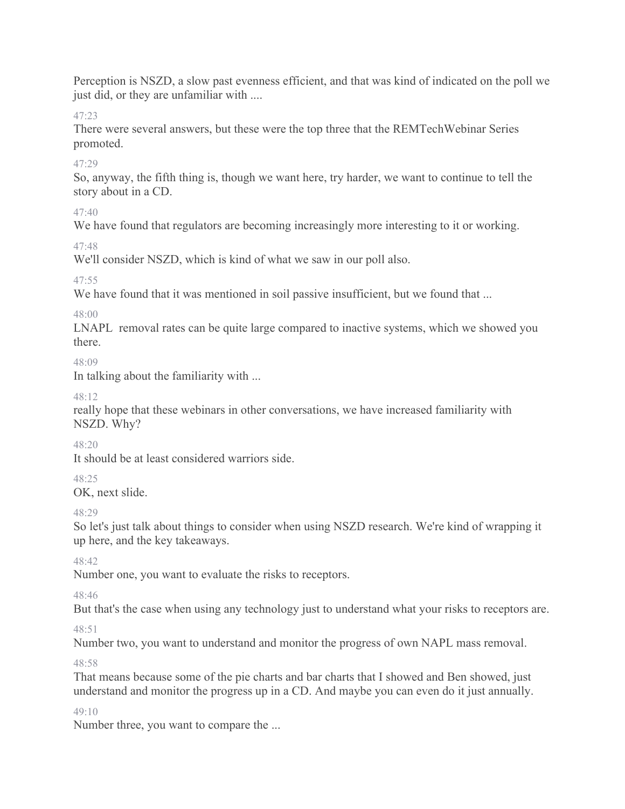Perception is NSZD, a slow past evenness efficient, and that was kind of indicated on the poll we just did, or they are unfamiliar with ....

47:23

There were several answers, but these were the top three that the REMTechWebinar Series promoted.

47:29

So, anyway, the fifth thing is, though we want here, try harder, we want to continue to tell the story about in a CD.

47:40

We have found that regulators are becoming increasingly more interesting to it or working.

47:48

We'll consider NSZD, which is kind of what we saw in our poll also.

47:55

We have found that it was mentioned in soil passive insufficient, but we found that ...

48:00

LNAPL removal rates can be quite large compared to inactive systems, which we showed you there.

48:09

In talking about the familiarity with ...

48:12

really hope that these webinars in other conversations, we have increased familiarity with NSZD. Why?

 $48.20$ 

It should be at least considered warriors side.

48:25

OK, next slide.

48:29

So let's just talk about things to consider when using NSZD research. We're kind of wrapping it up here, and the key takeaways.

 $48.42$ 

Number one, you want to evaluate the risks to receptors.

48:46

But that's the case when using any technology just to understand what your risks to receptors are.

 $48.51$ 

Number two, you want to understand and monitor the progress of own NAPL mass removal.

48:58

That means because some of the pie charts and bar charts that I showed and Ben showed, just understand and monitor the progress up in a CD. And maybe you can even do it just annually.

49:10

Number three, you want to compare the ...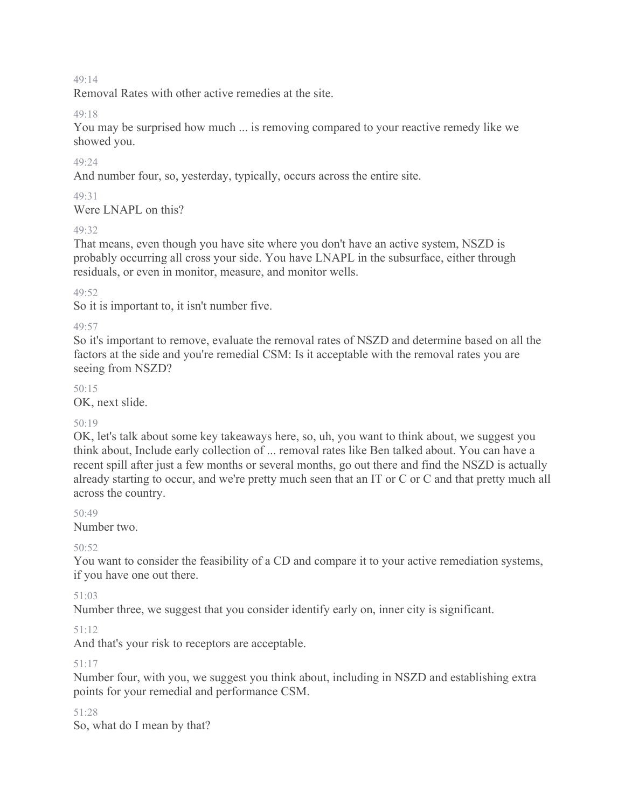Removal Rates with other active remedies at the site.

#### 49:18

You may be surprised how much ... is removing compared to your reactive remedy like we showed you.

### 49:24

And number four, so, yesterday, typically, occurs across the entire site.

### 49:31

Were LNAPL on this?

### 49:32

That means, even though you have site where you don't have an active system, NSZD is probably occurring all cross your side. You have LNAPL in the subsurface, either through residuals, or even in monitor, measure, and monitor wells.

### 49:52

So it is important to, it isn't number five.

### 49:57

So it's important to remove, evaluate the removal rates of NSZD and determine based on all the factors at the side and you're remedial CSM: Is it acceptable with the removal rates you are seeing from NSZD?

### $50.15$

OK, next slide.

### 50:19

OK, let's talk about some key takeaways here, so, uh, you want to think about, we suggest you think about, Include early collection of ... removal rates like Ben talked about. You can have a recent spill after just a few months or several months, go out there and find the NSZD is actually already starting to occur, and we're pretty much seen that an IT or C or C and that pretty much all across the country.

#### 50:49

Number two.

### $50.52$

You want to consider the feasibility of a CD and compare it to your active remediation systems, if you have one out there.

### 51:03

Number three, we suggest that you consider identify early on, inner city is significant.

### 51:12

And that's your risk to receptors are acceptable.

#### 51:17

Number four, with you, we suggest you think about, including in NSZD and establishing extra points for your remedial and performance CSM.

51:28

So, what do I mean by that?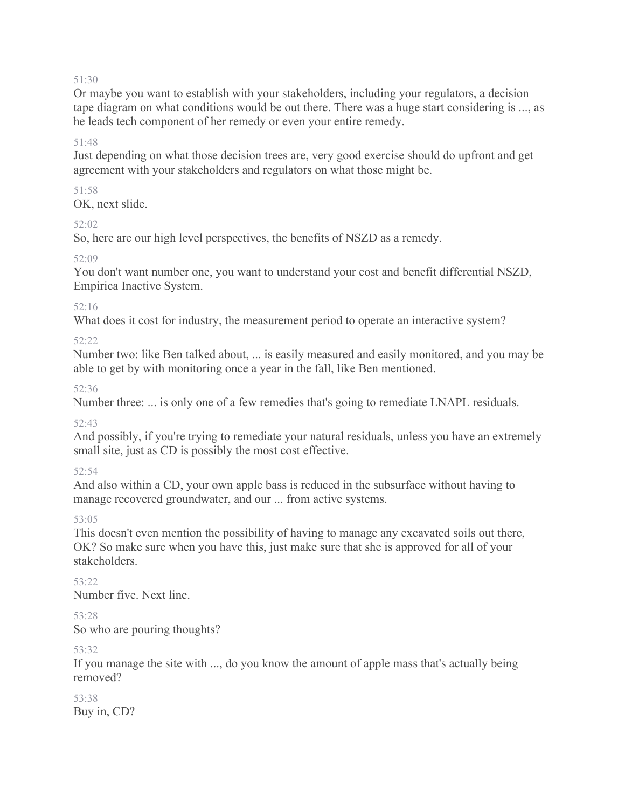Or maybe you want to establish with your stakeholders, including your regulators, a decision tape diagram on what conditions would be out there. There was a huge start considering is ..., as he leads tech component of her remedy or even your entire remedy.

#### 51:48

Just depending on what those decision trees are, very good exercise should do upfront and get agreement with your stakeholders and regulators on what those might be.

### 51:58

OK, next slide.

### 52:02

So, here are our high level perspectives, the benefits of NSZD as a remedy.

### 52:09

You don't want number one, you want to understand your cost and benefit differential NSZD, Empirica Inactive System.

### 52:16

What does it cost for industry, the measurement period to operate an interactive system?

### 52:22

Number two: like Ben talked about, ... is easily measured and easily monitored, and you may be able to get by with monitoring once a year in the fall, like Ben mentioned.

### 52:36

Number three: ... is only one of a few remedies that's going to remediate LNAPL residuals.

### 52:43

And possibly, if you're trying to remediate your natural residuals, unless you have an extremely small site, just as CD is possibly the most cost effective.

### 52:54

And also within a CD, your own apple bass is reduced in the subsurface without having to manage recovered groundwater, and our ... from active systems.

#### 53:05

This doesn't even mention the possibility of having to manage any excavated soils out there, OK? So make sure when you have this, just make sure that she is approved for all of your stakeholders.

 $53.22$ Number five. Next line.

#### 53:28 So who are pouring thoughts?

#### 53:32

If you manage the site with ..., do you know the amount of apple mass that's actually being removed?

### 53:38 Buy in, CD?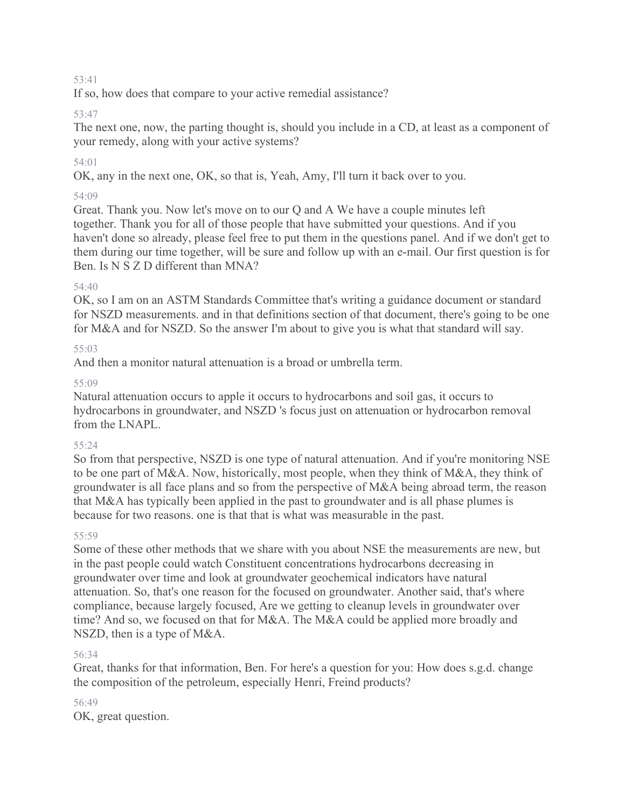If so, how does that compare to your active remedial assistance?

### 53:47

The next one, now, the parting thought is, should you include in a CD, at least as a component of your remedy, along with your active systems?

### 54:01

OK, any in the next one, OK, so that is, Yeah, Amy, I'll turn it back over to you.

### 54:09

Great. Thank you. Now let's move on to our Q and A We have a couple minutes left together. Thank you for all of those people that have submitted your questions. And if you haven't done so already, please feel free to put them in the questions panel. And if we don't get to them during our time together, will be sure and follow up with an e-mail. Our first question is for Ben. Is N S Z D different than MNA?

### 54:40

OK, so I am on an ASTM Standards Committee that's writing a guidance document or standard for NSZD measurements. and in that definitions section of that document, there's going to be one for M&A and for NSZD. So the answer I'm about to give you is what that standard will say.

### 55:03

And then a monitor natural attenuation is a broad or umbrella term.

### 55:09

Natural attenuation occurs to apple it occurs to hydrocarbons and soil gas, it occurs to hydrocarbons in groundwater, and NSZD 's focus just on attenuation or hydrocarbon removal from the LNAPL.

### 55:24

So from that perspective, NSZD is one type of natural attenuation. And if you're monitoring NSE to be one part of M&A. Now, historically, most people, when they think of M&A, they think of groundwater is all face plans and so from the perspective of M&A being abroad term, the reason that M&A has typically been applied in the past to groundwater and is all phase plumes is because for two reasons. one is that that is what was measurable in the past.

### 55:59

Some of these other methods that we share with you about NSE the measurements are new, but in the past people could watch Constituent concentrations hydrocarbons decreasing in groundwater over time and look at groundwater geochemical indicators have natural attenuation. So, that's one reason for the focused on groundwater. Another said, that's where compliance, because largely focused, Are we getting to cleanup levels in groundwater over time? And so, we focused on that for M&A. The M&A could be applied more broadly and NSZD, then is a type of M&A.

### 56:34

Great, thanks for that information, Ben. For here's a question for you: How does s.g.d. change the composition of the petroleum, especially Henri, Freind products?

### 56:49

OK, great question.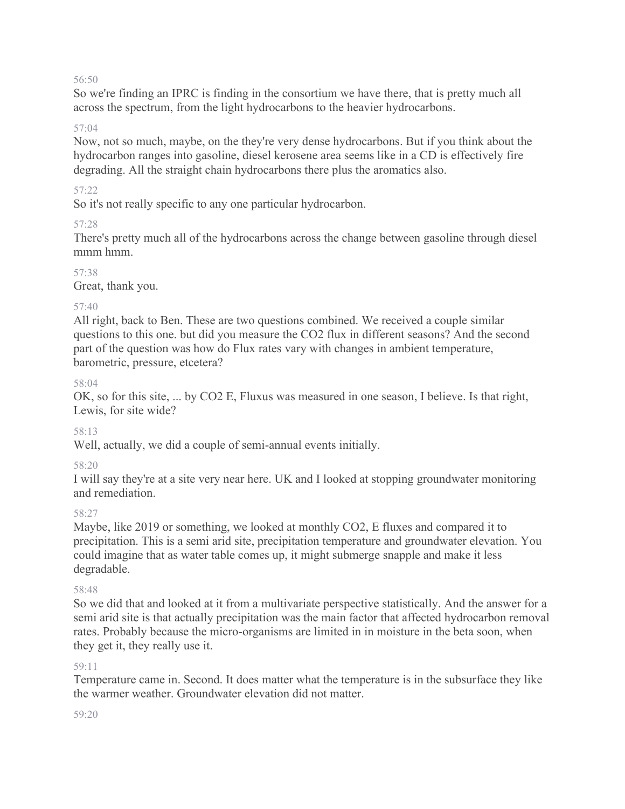So we're finding an IPRC is finding in the consortium we have there, that is pretty much all across the spectrum, from the light hydrocarbons to the heavier hydrocarbons.

#### 57:04

Now, not so much, maybe, on the they're very dense hydrocarbons. But if you think about the hydrocarbon ranges into gasoline, diesel kerosene area seems like in a CD is effectively fire degrading. All the straight chain hydrocarbons there plus the aromatics also.

#### 57:22

So it's not really specific to any one particular hydrocarbon.

### 57:28

There's pretty much all of the hydrocarbons across the change between gasoline through diesel mmm<sub>mm</sub>

### 57:38

Great, thank you.

### 57:40

All right, back to Ben. These are two questions combined. We received a couple similar questions to this one. but did you measure the CO2 flux in different seasons? And the second part of the question was how do Flux rates vary with changes in ambient temperature, barometric, pressure, etcetera?

#### 58:04

OK, so for this site, ... by CO2 E, Fluxus was measured in one season, I believe. Is that right, Lewis, for site wide?

#### 58:13

Well, actually, we did a couple of semi-annual events initially.

### 58:20

I will say they're at a site very near here. UK and I looked at stopping groundwater monitoring and remediation.

#### 58:27

Maybe, like 2019 or something, we looked at monthly CO2, E fluxes and compared it to precipitation. This is a semi arid site, precipitation temperature and groundwater elevation. You could imagine that as water table comes up, it might submerge snapple and make it less degradable.

#### 58:48

So we did that and looked at it from a multivariate perspective statistically. And the answer for a semi arid site is that actually precipitation was the main factor that affected hydrocarbon removal rates. Probably because the micro-organisms are limited in in moisture in the beta soon, when they get it, they really use it.

#### $59.11$

Temperature came in. Second. It does matter what the temperature is in the subsurface they like the warmer weather. Groundwater elevation did not matter.